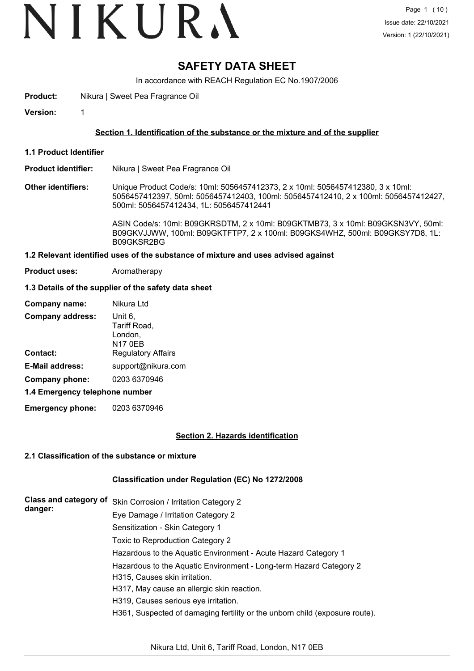### **SAFETY DATA SHEET**

In accordance with REACH Regulation EC No.1907/2006

**Product:** Nikura | Sweet Pea Fragrance Oil

**Version:** 1

#### **Section 1. Identification of the substance or the mixture and of the supplier**

**1.1 Product Identifier**

#### **Product identifier:** Nikura | Sweet Pea Fragrance Oil

**Other identifiers:** Unique Product Code/s: 10ml: 5056457412373, 2 x 10ml: 5056457412380, 3 x 10ml: 5056457412397, 50ml: 5056457412403, 100ml: 5056457412410, 2 x 100ml: 5056457412427, 500ml: 5056457412434, 1L: 5056457412441

> ASIN Code/s: 10ml: B09GKRSDTM, 2 x 10ml: B09GKTMB73, 3 x 10ml: B09GKSN3VY, 50ml: B09GKVJJWW, 100ml: B09GKTFTP7, 2 x 100ml: B09GKS4WHZ, 500ml: B09GKSY7D8, 1L: B09GKSR2BG

#### **1.2 Relevant identified uses of the substance of mixture and uses advised against**

**Product uses:** Aromatherapy

#### **1.3 Details of the supplier of the safety data sheet**

| Company name:                  | Nikura Ltd                                    |  |  |  |
|--------------------------------|-----------------------------------------------|--|--|--|
| <b>Company address:</b>        | Unit 6.<br>Tariff Road,<br>London,<br>N17 0EB |  |  |  |
| Contact:                       | <b>Regulatory Affairs</b>                     |  |  |  |
| <b>E-Mail address:</b>         | support@nikura.com                            |  |  |  |
| Company phone:                 | 0203 6370946                                  |  |  |  |
| 1.4 Emergency telephone number |                                               |  |  |  |

**Emergency phone:** 0203 6370946

#### **Section 2. Hazards identification**

#### **2.1 Classification of the substance or mixture**

#### **Classification under Regulation (EC) No 1272/2008**

| <b>Class and category of</b><br>danger: | Skin Corrosion / Irritation Category 2                                                              |
|-----------------------------------------|-----------------------------------------------------------------------------------------------------|
|                                         | Eye Damage / Irritation Category 2                                                                  |
|                                         | Sensitization - Skin Category 1                                                                     |
|                                         | Toxic to Reproduction Category 2                                                                    |
|                                         | Hazardous to the Aquatic Environment - Acute Hazard Category 1                                      |
|                                         | Hazardous to the Aquatic Environment - Long-term Hazard Category 2<br>H315, Causes skin irritation. |
|                                         | H317, May cause an allergic skin reaction.                                                          |
|                                         | H319, Causes serious eye irritation.                                                                |
|                                         | H361, Suspected of damaging fertility or the unborn child (exposure route).                         |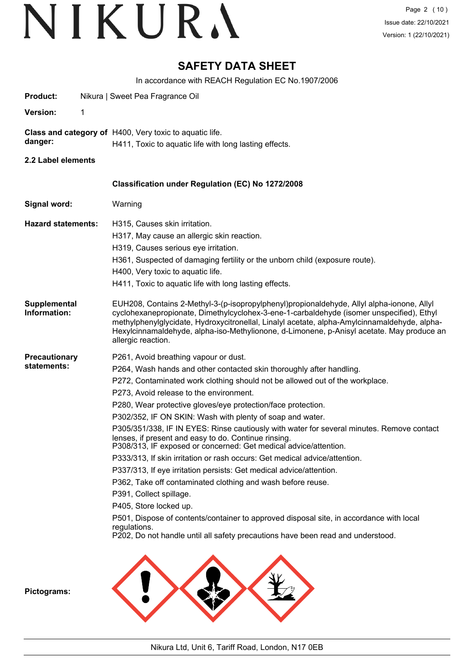### **SAFETY DATA SHEET**

In accordance with REACH Regulation EC No.1907/2006

| Product:                            |   | Nikura   Sweet Pea Fragrance Oil                                                                                                                                                                                                                                                                                                                                                                         |
|-------------------------------------|---|----------------------------------------------------------------------------------------------------------------------------------------------------------------------------------------------------------------------------------------------------------------------------------------------------------------------------------------------------------------------------------------------------------|
| <b>Version:</b>                     | 1 |                                                                                                                                                                                                                                                                                                                                                                                                          |
| danger:                             |   | Class and category of H400, Very toxic to aquatic life.<br>H411, Toxic to aquatic life with long lasting effects.                                                                                                                                                                                                                                                                                        |
| 2.2 Label elements                  |   |                                                                                                                                                                                                                                                                                                                                                                                                          |
|                                     |   |                                                                                                                                                                                                                                                                                                                                                                                                          |
|                                     |   | Classification under Regulation (EC) No 1272/2008                                                                                                                                                                                                                                                                                                                                                        |
| Signal word:                        |   | Warning                                                                                                                                                                                                                                                                                                                                                                                                  |
| <b>Hazard statements:</b>           |   | H315, Causes skin irritation.                                                                                                                                                                                                                                                                                                                                                                            |
|                                     |   | H317, May cause an allergic skin reaction.                                                                                                                                                                                                                                                                                                                                                               |
|                                     |   | H319, Causes serious eye irritation.                                                                                                                                                                                                                                                                                                                                                                     |
|                                     |   | H361, Suspected of damaging fertility or the unborn child (exposure route).                                                                                                                                                                                                                                                                                                                              |
|                                     |   | H400, Very toxic to aquatic life.                                                                                                                                                                                                                                                                                                                                                                        |
|                                     |   | H411, Toxic to aquatic life with long lasting effects.                                                                                                                                                                                                                                                                                                                                                   |
| <b>Supplemental</b><br>Information: |   | EUH208, Contains 2-Methyl-3-(p-isopropylphenyl)propionaldehyde, Allyl alpha-ionone, Allyl<br>cyclohexanepropionate, Dimethylcyclohex-3-ene-1-carbaldehyde (isomer unspecified), Ethyl<br>methylphenylglycidate, Hydroxycitronellal, Linalyl acetate, alpha-Amylcinnamaldehyde, alpha-<br>Hexylcinnamaldehyde, alpha-iso-Methylionone, d-Limonene, p-Anisyl acetate. May produce an<br>allergic reaction. |
| <b>Precautionary</b>                |   | P261, Avoid breathing vapour or dust.                                                                                                                                                                                                                                                                                                                                                                    |
| statements:                         |   | P264, Wash hands and other contacted skin thoroughly after handling.                                                                                                                                                                                                                                                                                                                                     |
|                                     |   | P272, Contaminated work clothing should not be allowed out of the workplace.                                                                                                                                                                                                                                                                                                                             |
|                                     |   | P273, Avoid release to the environment.                                                                                                                                                                                                                                                                                                                                                                  |
|                                     |   | P280, Wear protective gloves/eye protection/face protection.                                                                                                                                                                                                                                                                                                                                             |
|                                     |   | P302/352, IF ON SKIN: Wash with plenty of soap and water.                                                                                                                                                                                                                                                                                                                                                |
|                                     |   | P305/351/338, IF IN EYES: Rinse cautiously with water for several minutes. Remove contact<br>lenses, if present and easy to do. Continue rinsing.<br>P308/313, IF exposed or concerned: Get medical advice/attention.                                                                                                                                                                                    |
|                                     |   | P333/313, If skin irritation or rash occurs: Get medical advice/attention.                                                                                                                                                                                                                                                                                                                               |
|                                     |   | P337/313, If eye irritation persists: Get medical advice/attention.                                                                                                                                                                                                                                                                                                                                      |
|                                     |   | P362, Take off contaminated clothing and wash before reuse.                                                                                                                                                                                                                                                                                                                                              |
|                                     |   | P391, Collect spillage.                                                                                                                                                                                                                                                                                                                                                                                  |
|                                     |   | P405, Store locked up.                                                                                                                                                                                                                                                                                                                                                                                   |
|                                     |   | P501, Dispose of contents/container to approved disposal site, in accordance with local                                                                                                                                                                                                                                                                                                                  |
|                                     |   | regulations.<br>P202, Do not handle until all safety precautions have been read and understood.                                                                                                                                                                                                                                                                                                          |
| Pictograms:                         |   |                                                                                                                                                                                                                                                                                                                                                                                                          |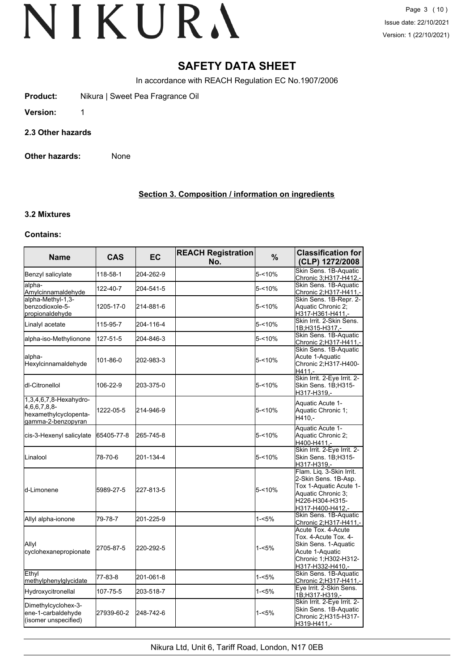### **SAFETY DATA SHEET**

In accordance with REACH Regulation EC No.1907/2006

**Product:** Nikura | Sweet Pea Fragrance Oil

**Version:** 1

**2.3 Other hazards**

**Other hazards:** None

#### **Section 3. Composition / information on ingredients**

### **3.2 Mixtures**

#### **Contains:**

| <b>Name</b>                                                                           | <b>CAS</b> | <b>EC</b> | <b>REACH Registration</b><br>No. | $\%$      | <b>Classification for</b><br>(CLP) 1272/2008                                                                                            |
|---------------------------------------------------------------------------------------|------------|-----------|----------------------------------|-----------|-----------------------------------------------------------------------------------------------------------------------------------------|
| Benzyl salicylate                                                                     | 118-58-1   | 204-262-9 |                                  | $5 - 10%$ | Skin Sens. 1B-Aquatic<br>Chronic 3;H317-H412,-                                                                                          |
| alpha-<br>Amylcinnamaldehyde                                                          | 122-40-7   | 204-541-5 |                                  | $5 - 10%$ | Skin Sens. 1B-Aquatic<br>Chronic 2:H317-H411.-                                                                                          |
| alpha-Methyl-1,3-<br>benzodioxole-5-<br>propionaldehyde                               | 1205-17-0  | 214-881-6 |                                  | $5 - 10%$ | Skin Sens. 1B-Repr. 2-<br>Aquatic Chronic 2;<br>H317-H361-H411,-                                                                        |
| Linalyl acetate                                                                       | 115-95-7   | 204-116-4 |                                  | 5-<10%    | Skin Irrit. 2-Skin Sens.<br>1B;H315-H317 -                                                                                              |
| alpha-iso-Methylionone                                                                | 127-51-5   | 204-846-3 |                                  | $5 - 10%$ | Skin Sens. 1B-Aquatic<br>Chronic 2;H317-H411,-                                                                                          |
| lalpha-<br>Hexylcinnamaldehyde                                                        | 101-86-0   | 202-983-3 |                                  | $5 - 10%$ | Skin Sens. 1B-Aquatic<br>Acute 1-Aquatic<br>Chronic 2; H317-H400-<br>H411.-                                                             |
| ldl-Citronellol                                                                       | 106-22-9   | 203-375-0 |                                  | 5-<10%    | Skin Irrit. 2-Eye Irrit. 2-<br>Skin Sens. 1B;H315-<br>H317-H319.-                                                                       |
| 1,3,4,6,7,8-Hexahydro-<br>4,6,6,7,8,8-<br>hexamethylcyclopenta-<br>gamma-2-benzopyran | 1222-05-5  | 214-946-9 |                                  | $5 - 10%$ | Aquatic Acute 1-<br>Aquatic Chronic 1;<br>H410,-                                                                                        |
| cis-3-Hexenyl salicylate                                                              | 65405-77-8 | 265-745-8 |                                  | $5 - 10%$ | Aquatic Acute 1-<br>Aquatic Chronic 2;<br>H400-H411,-                                                                                   |
| Linalool                                                                              | 78-70-6    | 201-134-4 |                                  | 5-<10%    | Skin Irrit. 2-Eye Irrit. 2-<br>Skin Sens. 1B;H315-<br>H317-H319.-                                                                       |
| ld-Limonene                                                                           | 5989-27-5  | 227-813-5 |                                  | $5 - 10%$ | Flam. Liq. 3-Skin Irrit.<br>2-Skin Sens. 1B-Asp.<br>Tox 1-Aquatic Acute 1-<br>Aquatic Chronic 3:<br>H226-H304-H315-<br>H317-H400-H412,- |
| Allyl alpha-ionone                                                                    | 79-78-7    | 201-225-9 |                                  | $1 - 5%$  | Skin Sens. 1B-Aquatic<br>Chronic 2:H317-H411.-                                                                                          |
| Allyl<br>cyclohexanepropionate                                                        | 2705-87-5  | 220-292-5 |                                  | $1 - 5%$  | Acute Tox. 4-Acute<br>Tox. 4-Acute Tox. 4-<br>Skin Sens. 1-Aquatic<br>Acute 1-Aquatic<br>Chronic 1:H302-H312-<br>H317-H332-H410,-       |
| Ethyl<br>methylphenylglycidate                                                        | 77-83-8    | 201-061-8 |                                  | $1 - 5%$  | Skin Sens. 1B-Aquatic<br>Chronic 2; H317-H411,-                                                                                         |
| Hydroxycitronellal                                                                    | 107-75-5   | 203-518-7 |                                  | $1 - 5%$  | Eye Irrit. 2-Skin Sens.<br>1B;H317-H319,-                                                                                               |
| Dimethylcyclohex-3-<br>ene-1-carbaldehyde<br>(isomer unspecified)                     | 27939-60-2 | 248-742-6 |                                  | $1 - 5%$  | Skin Irrit. 2-Eye Irrit. 2-<br>Skin Sens. 1B-Aquatic<br>Chronic 2;H315-H317-<br>H319-H411,-                                             |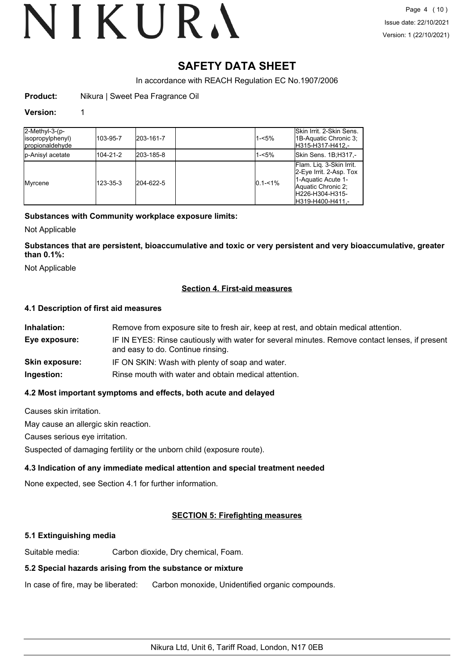### **SAFETY DATA SHEET**

In accordance with REACH Regulation EC No.1907/2006

**Product:** Nikura | Sweet Pea Fragrance Oil

#### **Version:** 1

| 2-Methyl-3-(p-<br>(isopropylphenyl<br><b>Ipropionaldehyde</b> | 103-95-7 | 203-161-7 | $1 - 5%$    | lSkin Irrit, 2-Skin Sens.<br>1B-Aquatic Chronic 3;<br>H315-H317-H412.-                                                                 |
|---------------------------------------------------------------|----------|-----------|-------------|----------------------------------------------------------------------------------------------------------------------------------------|
| <b>I</b> p-Anisyl acetate                                     | 104-21-2 | 203-185-8 | $1 - 5%$    | Skin Sens. 1B;H317,-                                                                                                                   |
| Myrcene                                                       | 123-35-3 | 204-622-5 | $0.1 - 1\%$ | Flam. Lig. 3-Skin Irrit.<br>2-Eye Irrit. 2-Asp. Tox<br>1-Aquatic Acute 1-<br>Aquatic Chronic 2;<br>H226-H304-H315-<br>H319-H400-H411.- |

#### **Substances with Community workplace exposure limits:**

Not Applicable

**Substances that are persistent, bioaccumulative and toxic or very persistent and very bioaccumulative, greater than 0.1%:**

Not Applicable

#### **Section 4. First-aid measures**

#### **4.1 Description of first aid measures**

| Inhalation:    | Remove from exposure site to fresh air, keep at rest, and obtain medical attention.                                                 |
|----------------|-------------------------------------------------------------------------------------------------------------------------------------|
| Eye exposure:  | IF IN EYES: Rinse cautiously with water for several minutes. Remove contact lenses, if present<br>and easy to do. Continue rinsing. |
| Skin exposure: | IF ON SKIN: Wash with plenty of soap and water.                                                                                     |
| Ingestion:     | Rinse mouth with water and obtain medical attention.                                                                                |
|                |                                                                                                                                     |

#### **4.2 Most important symptoms and effects, both acute and delayed**

Causes skin irritation.

May cause an allergic skin reaction.

Causes serious eye irritation.

Suspected of damaging fertility or the unborn child (exposure route).

#### **4.3 Indication of any immediate medical attention and special treatment needed**

None expected, see Section 4.1 for further information.

#### **SECTION 5: Firefighting measures**

#### **5.1 Extinguishing media**

Suitable media: Carbon dioxide, Dry chemical, Foam.

#### **5.2 Special hazards arising from the substance or mixture**

In case of fire, may be liberated: Carbon monoxide, Unidentified organic compounds.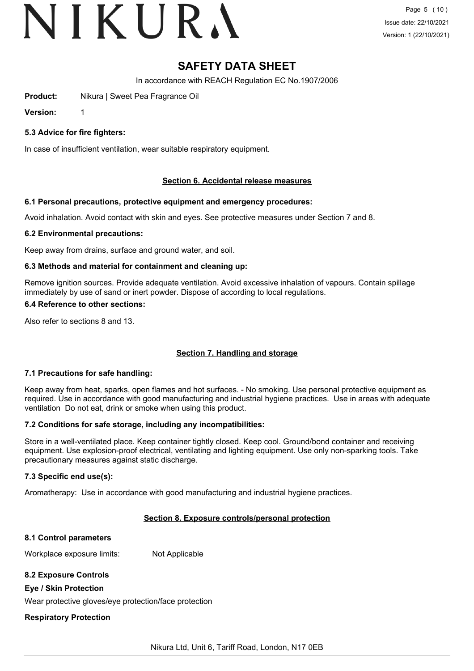### **SAFETY DATA SHEET**

In accordance with REACH Regulation EC No.1907/2006

**Product:** Nikura | Sweet Pea Fragrance Oil

**Version:** 1

#### **5.3 Advice for fire fighters:**

In case of insufficient ventilation, wear suitable respiratory equipment.

#### **Section 6. Accidental release measures**

#### **6.1 Personal precautions, protective equipment and emergency procedures:**

Avoid inhalation. Avoid contact with skin and eyes. See protective measures under Section 7 and 8.

#### **6.2 Environmental precautions:**

Keep away from drains, surface and ground water, and soil.

#### **6.3 Methods and material for containment and cleaning up:**

Remove ignition sources. Provide adequate ventilation. Avoid excessive inhalation of vapours. Contain spillage immediately by use of sand or inert powder. Dispose of according to local regulations.

#### **6.4 Reference to other sections:**

Also refer to sections 8 and 13.

#### **Section 7. Handling and storage**

#### **7.1 Precautions for safe handling:**

Keep away from heat, sparks, open flames and hot surfaces. - No smoking. Use personal protective equipment as required. Use in accordance with good manufacturing and industrial hygiene practices. Use in areas with adequate ventilation Do not eat, drink or smoke when using this product.

#### **7.2 Conditions for safe storage, including any incompatibilities:**

Store in a well-ventilated place. Keep container tightly closed. Keep cool. Ground/bond container and receiving equipment. Use explosion-proof electrical, ventilating and lighting equipment. Use only non-sparking tools. Take precautionary measures against static discharge.

#### **7.3 Specific end use(s):**

Aromatherapy: Use in accordance with good manufacturing and industrial hygiene practices.

#### **Section 8. Exposure controls/personal protection**

#### **8.1 Control parameters**

Workplace exposure limits: Not Applicable

#### **8.2 Exposure Controls**

#### **Eye / Skin Protection**

Wear protective gloves/eye protection/face protection

#### **Respiratory Protection**

Nikura Ltd, Unit 6, Tariff Road, London, N17 0EB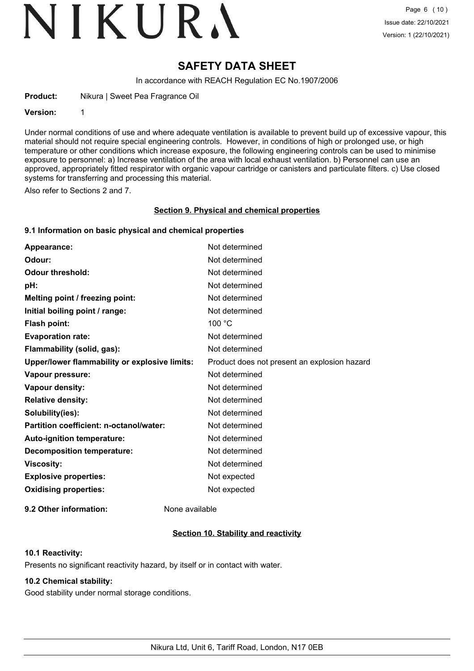### **SAFETY DATA SHEET**

In accordance with REACH Regulation EC No.1907/2006

**Product:** Nikura | Sweet Pea Fragrance Oil

**Version:** 1

Under normal conditions of use and where adequate ventilation is available to prevent build up of excessive vapour, this material should not require special engineering controls. However, in conditions of high or prolonged use, or high temperature or other conditions which increase exposure, the following engineering controls can be used to minimise exposure to personnel: a) Increase ventilation of the area with local exhaust ventilation. b) Personnel can use an approved, appropriately fitted respirator with organic vapour cartridge or canisters and particulate filters. c) Use closed systems for transferring and processing this material.

Also refer to Sections 2 and 7.

#### **Section 9. Physical and chemical properties**

#### **9.1 Information on basic physical and chemical properties**

| Appearance:                                   | Not determined                               |
|-----------------------------------------------|----------------------------------------------|
| Odour:                                        | Not determined                               |
| <b>Odour threshold:</b>                       | Not determined                               |
| pH:                                           | Not determined                               |
| Melting point / freezing point:               | Not determined                               |
| Initial boiling point / range:                | Not determined                               |
| <b>Flash point:</b>                           | 100 °C                                       |
| <b>Evaporation rate:</b>                      | Not determined                               |
| Flammability (solid, gas):                    | Not determined                               |
| Upper/lower flammability or explosive limits: | Product does not present an explosion hazard |
| Vapour pressure:                              | Not determined                               |
| Vapour density:                               | Not determined                               |
| <b>Relative density:</b>                      | Not determined                               |
| Solubility(ies):                              | Not determined                               |
| Partition coefficient: n-octanol/water:       | Not determined                               |
| Auto-ignition temperature:                    | Not determined                               |
| <b>Decomposition temperature:</b>             | Not determined                               |
| <b>Viscosity:</b>                             | Not determined                               |
| <b>Explosive properties:</b>                  | Not expected                                 |
| <b>Oxidising properties:</b>                  | Not expected                                 |
|                                               |                                              |

**9.2 Other information:** None available

#### **Section 10. Stability and reactivity**

#### **10.1 Reactivity:**

Presents no significant reactivity hazard, by itself or in contact with water.

#### **10.2 Chemical stability:**

Good stability under normal storage conditions.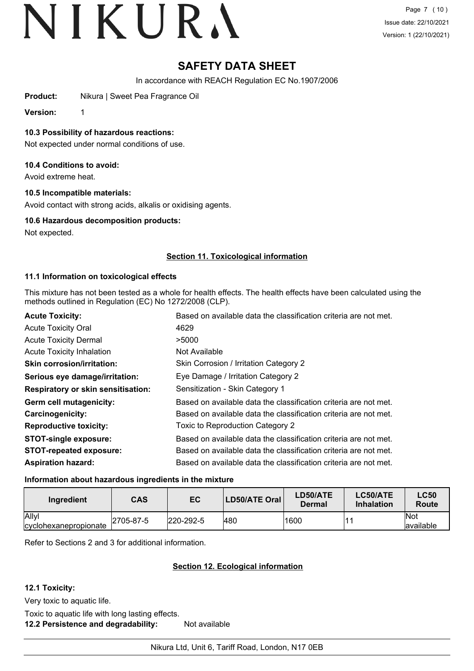### **SAFETY DATA SHEET**

In accordance with REACH Regulation EC No.1907/2006

**Product:** Nikura | Sweet Pea Fragrance Oil

**Version:** 1

**10.3 Possibility of hazardous reactions:**

Not expected under normal conditions of use.

#### **10.4 Conditions to avoid:**

Avoid extreme heat.

#### **10.5 Incompatible materials:**

Avoid contact with strong acids, alkalis or oxidising agents.

#### **10.6 Hazardous decomposition products:**

Not expected.

#### **Section 11. Toxicological information**

#### **11.1 Information on toxicological effects**

This mixture has not been tested as a whole for health effects. The health effects have been calculated using the methods outlined in Regulation (EC) No 1272/2008 (CLP).

| <b>Acute Toxicity:</b>                    | Based on available data the classification criteria are not met. |
|-------------------------------------------|------------------------------------------------------------------|
| <b>Acute Toxicity Oral</b>                | 4629                                                             |
| <b>Acute Toxicity Dermal</b>              | >5000                                                            |
| <b>Acute Toxicity Inhalation</b>          | Not Available                                                    |
| <b>Skin corrosion/irritation:</b>         | Skin Corrosion / Irritation Category 2                           |
| Serious eye damage/irritation:            | Eye Damage / Irritation Category 2                               |
| <b>Respiratory or skin sensitisation:</b> | Sensitization - Skin Category 1                                  |
| Germ cell mutagenicity:                   | Based on available data the classification criteria are not met. |
| <b>Carcinogenicity:</b>                   | Based on available data the classification criteria are not met. |
| <b>Reproductive toxicity:</b>             | Toxic to Reproduction Category 2                                 |
| <b>STOT-single exposure:</b>              | Based on available data the classification criteria are not met. |
| <b>STOT-repeated exposure:</b>            | Based on available data the classification criteria are not met. |
| <b>Aspiration hazard:</b>                 | Based on available data the classification criteria are not met. |

#### **Information about hazardous ingredients in the mixture**

| Ingredient                             | CAS       | EC               | LD50/ATE Oral | LD50/ATE<br>Dermal | LC50/ATE<br>Inhalation | <b>LC50</b><br>Route |
|----------------------------------------|-----------|------------------|---------------|--------------------|------------------------|----------------------|
| Allyl<br><i>c</i> yclohexanepropionate | 2705-87-5 | $ 220 - 292 - 5$ | 480           | 1600               |                        | ∣Not<br>lavailable   |

Refer to Sections 2 and 3 for additional information.

#### **Section 12. Ecological information**

#### **12.1 Toxicity:**

Very toxic to aquatic life.

Toxic to aquatic life with long lasting effects. **12.2 Persistence and degradability:** Not available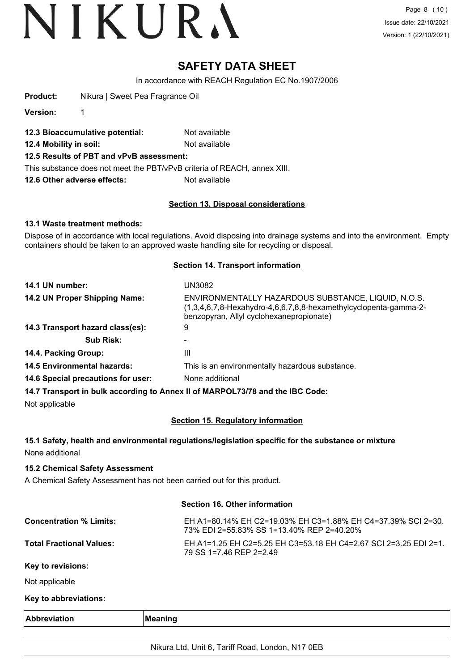### **SAFETY DATA SHEET**

In accordance with REACH Regulation EC No.1907/2006

**Product:** Nikura | Sweet Pea Fragrance Oil

**Version:** 1

- **12.3 Bioaccumulative potential:** Not available
- **12.4 Mobility in soil:** Not available
- **12.5 Results of PBT and vPvB assessment:**

This substance does not meet the PBT/vPvB criteria of REACH, annex XIII.

**12.6 Other adverse effects:** Not available

#### **Section 13. Disposal considerations**

#### **13.1 Waste treatment methods:**

Dispose of in accordance with local regulations. Avoid disposing into drainage systems and into the environment. Empty containers should be taken to an approved waste handling site for recycling or disposal.

#### **Section 14. Transport information**

| 14.1 UN number:                    | UN3082                                                                                                                                                                                                                                                                                                                                                                                                                                                       |
|------------------------------------|--------------------------------------------------------------------------------------------------------------------------------------------------------------------------------------------------------------------------------------------------------------------------------------------------------------------------------------------------------------------------------------------------------------------------------------------------------------|
| 14.2 UN Proper Shipping Name:      | ENVIRONMENTALLY HAZARDOUS SUBSTANCE, LIQUID, N.O.S.<br>$(1,3,4,6,7,8$ -Hexahydro-4,6,6,7,8,8-hexamethylcyclopenta-gamma-2-<br>benzopyran, Allyl cyclohexanepropionate)                                                                                                                                                                                                                                                                                       |
| 14.3 Transport hazard class(es):   | 9                                                                                                                                                                                                                                                                                                                                                                                                                                                            |
| <b>Sub Risk:</b>                   |                                                                                                                                                                                                                                                                                                                                                                                                                                                              |
| 14.4. Packing Group:               | Ш                                                                                                                                                                                                                                                                                                                                                                                                                                                            |
| <b>14.5 Environmental hazards:</b> | This is an environmentally hazardous substance.                                                                                                                                                                                                                                                                                                                                                                                                              |
| 14.6 Special precautions for user: | None additional                                                                                                                                                                                                                                                                                                                                                                                                                                              |
|                                    | $\mathcal{L} = \mathcal{L} = \mathcal{L} = \mathcal{L} = \mathcal{L} = \mathcal{L} = \mathcal{L} = \mathcal{L} = \mathcal{L} = \mathcal{L} = \mathcal{L} = \mathcal{L} = \mathcal{L} = \mathcal{L} = \mathcal{L} = \mathcal{L} = \mathcal{L} = \mathcal{L} = \mathcal{L} = \mathcal{L} = \mathcal{L} = \mathcal{L} = \mathcal{L} = \mathcal{L} = \mathcal{L} = \mathcal{L} = \mathcal{L} = \mathcal{L} = \mathcal{L} = \mathcal{L} = \mathcal{L} = \mathcal$ |

**14.7 Transport in bulk according to Annex II of MARPOL73/78 and the IBC Code:**

Not applicable

#### **Section 15. Regulatory information**

#### **15.1 Safety, health and environmental regulations/legislation specific for the substance or mixture** None additional

#### **15.2 Chemical Safety Assessment**

A Chemical Safety Assessment has not been carried out for this product.

#### **Section 16. Other information**

| <b>Concentration % Limits:</b>  | EH A1=80.14% EH C2=19.03% EH C3=1.88% EH C4=37.39% SCI 2=30.<br>73% EDI 2=55.83% SS 1=13.40% REP 2=40.20% |
|---------------------------------|-----------------------------------------------------------------------------------------------------------|
| <b>Total Fractional Values:</b> | EH A1=1.25 EH C2=5.25 EH C3=53.18 EH C4=2.67 SCI 2=3.25 EDI 2=1.<br>79 SS 1=7.46 REP 2=2.49               |
| Key to revisions:               |                                                                                                           |

Not applicable

#### **Key to abbreviations:**

| Ð<br>M |  |  |
|--------|--|--|
|        |  |  |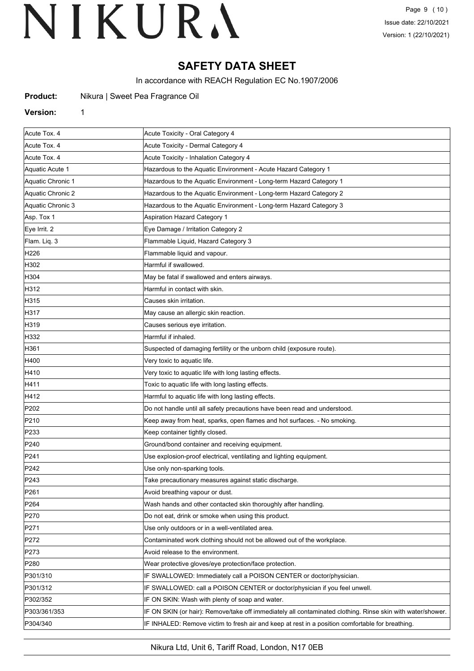### **SAFETY DATA SHEET**

In accordance with REACH Regulation EC No.1907/2006

| <b>Product:</b> |  | Nikura   Sweet Pea Fragrance Oil |  |
|-----------------|--|----------------------------------|--|
|-----------------|--|----------------------------------|--|

#### **Version:** 1

| Acute Tox. 4      | Acute Toxicity - Oral Category 4                                                                           |  |
|-------------------|------------------------------------------------------------------------------------------------------------|--|
| Acute Tox. 4      | Acute Toxicity - Dermal Category 4                                                                         |  |
| Acute Tox. 4      | Acute Toxicity - Inhalation Category 4                                                                     |  |
| Aquatic Acute 1   | Hazardous to the Aquatic Environment - Acute Hazard Category 1                                             |  |
| Aquatic Chronic 1 | Hazardous to the Aquatic Environment - Long-term Hazard Category 1                                         |  |
| Aquatic Chronic 2 | Hazardous to the Aquatic Environment - Long-term Hazard Category 2                                         |  |
| Aquatic Chronic 3 | Hazardous to the Aquatic Environment - Long-term Hazard Category 3                                         |  |
| Asp. Tox 1        | <b>Aspiration Hazard Category 1</b>                                                                        |  |
| Eye Irrit. 2      | Eye Damage / Irritation Category 2                                                                         |  |
| Flam. Liq. 3      | Flammable Liquid, Hazard Category 3                                                                        |  |
| H226              | Flammable liquid and vapour.                                                                               |  |
| H302              | Harmful if swallowed.                                                                                      |  |
| H304              | May be fatal if swallowed and enters airways.                                                              |  |
| H312              | Harmful in contact with skin.                                                                              |  |
| H315              | Causes skin irritation.                                                                                    |  |
| H317              | May cause an allergic skin reaction.                                                                       |  |
| H319              | Causes serious eye irritation.                                                                             |  |
| H332              | Harmful if inhaled.                                                                                        |  |
| H361              | Suspected of damaging fertility or the unborn child (exposure route).                                      |  |
| H400              | Very toxic to aquatic life.                                                                                |  |
| H410              | Very toxic to aquatic life with long lasting effects.                                                      |  |
| H411              | Toxic to aquatic life with long lasting effects.                                                           |  |
| H412              | Harmful to aquatic life with long lasting effects.                                                         |  |
| P202              | Do not handle until all safety precautions have been read and understood.                                  |  |
| P210              | Keep away from heat, sparks, open flames and hot surfaces. - No smoking.                                   |  |
| P233              | Keep container tightly closed.                                                                             |  |
| P240              | Ground/bond container and receiving equipment.                                                             |  |
| P241              | Use explosion-proof electrical, ventilating and lighting equipment.                                        |  |
| P242              | Use only non-sparking tools.                                                                               |  |
| P243              | Take precautionary measures against static discharge.                                                      |  |
| P261              | Avoid breathing vapour or dust.                                                                            |  |
| P <sub>264</sub>  | Wash hands and other contacted skin thoroughly after handling.                                             |  |
| P270              | Do not eat, drink or smoke when using this product.                                                        |  |
| P <sub>271</sub>  | Use only outdoors or in a well-ventilated area.                                                            |  |
| P272              | Contaminated work clothing should not be allowed out of the workplace.                                     |  |
| P273              | Avoid release to the environment.                                                                          |  |
| P <sub>280</sub>  | Wear protective gloves/eye protection/face protection.                                                     |  |
| P301/310          | IF SWALLOWED: Immediately call a POISON CENTER or doctor/physician.                                        |  |
| P301/312          | IF SWALLOWED: call a POISON CENTER or doctor/physician if you feel unwell.                                 |  |
| P302/352          | IF ON SKIN: Wash with plenty of soap and water.                                                            |  |
| P303/361/353      | IF ON SKIN (or hair): Remove/take off immediately all contaminated clothing. Rinse skin with water/shower. |  |
| P304/340          | IF INHALED: Remove victim to fresh air and keep at rest in a position comfortable for breathing.           |  |
|                   |                                                                                                            |  |